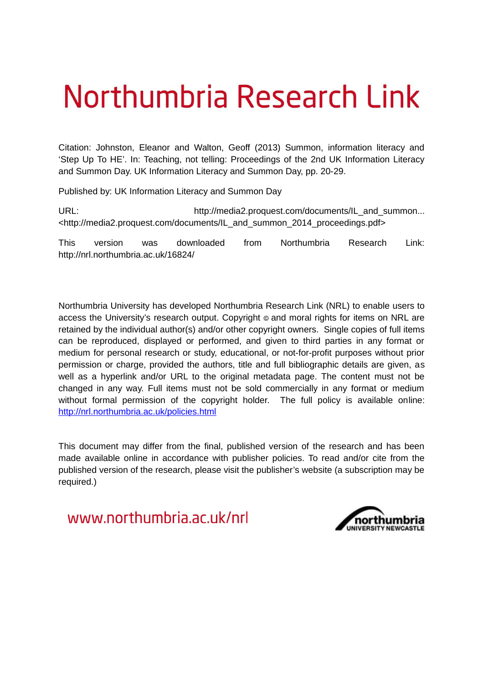# Northumbria Research Link

Citation: Johnston, Eleanor and Walton, Geoff (2013) Summon, information literacy and 'Step Up To HE'. In: Teaching, not telling: Proceedings of the 2nd UK Information Literacy and Summon Day. UK Information Literacy and Summon Day, pp. 20-29.

Published by: UK Information Literacy and Summon Day

URL: example and the http://media2.proquest.com/documents/IL\_and\_summon... <http://media2.proquest.com/documents/IL\_and\_summon\_2014\_proceedings.pdf>

This version was downloaded from Northumbria Research Link: http://nrl.northumbria.ac.uk/16824/

Northumbria University has developed Northumbria Research Link (NRL) to enable users to access the University's research output. Copyright  $\circ$  and moral rights for items on NRL are retained by the individual author(s) and/or other copyright owners. Single copies of full items can be reproduced, displayed or performed, and given to third parties in any format or medium for personal research or study, educational, or not-for-profit purposes without prior permission or charge, provided the authors, title and full bibliographic details are given, as well as a hyperlink and/or URL to the original metadata page. The content must not be changed in any way. Full items must not be sold commercially in any format or medium without formal permission of the copyright holder. The full policy is available online: <http://nrl.northumbria.ac.uk/policies.html>

This document may differ from the final, published version of the research and has been made available online in accordance with publisher policies. To read and/or cite from the published version of the research, please visit the publisher's website (a subscription may be required.)

www.northumbria.ac.uk/nrl

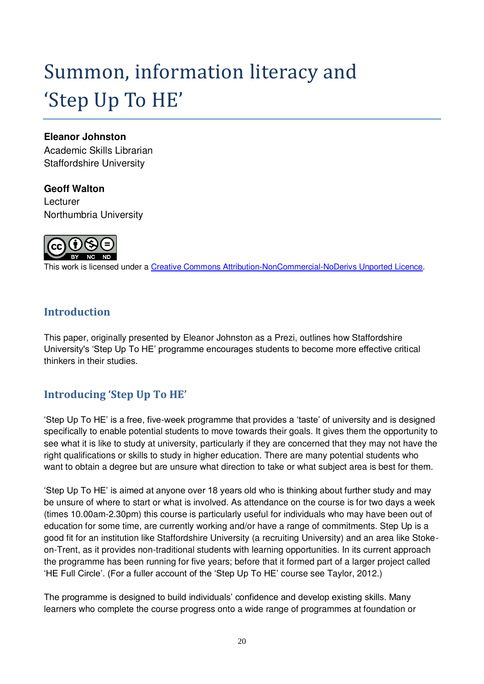# Summon, information literacy and 'Step Up To HE'

#### **Eleanor Johnston**

Academic Skills Librarian Staffordshire University

#### **Geoff Walton**

**Lecturer** Northumbria University



This work is licensed under a [Creative Commons Attribution-NonCommercial-NoDerivs Unported Licence.](http://creativecommons.org/licenses/by-nc-nd/3.0/)

# **Introduction**

This paper, originally presented by Eleanor Johnston as a Prezi, outlines how Staffordshire University's 'Step Up To HE' programme encourages students to become more effective critical thinkers in their studies.

# **Introducing ǮStep Up To HEǯ**

'Step Up To HE' is a free, five-week programme that provides a 'taste' of university and is designed specifically to enable potential students to move towards their goals. It gives them the opportunity to see what it is like to study at university, particularly if they are concerned that they may not have the right qualifications or skills to study in higher education. There are many potential students who want to obtain a degree but are unsure what direction to take or what subject area is best for them.

'Step Up To HE' is aimed at anyone over 18 years old who is thinking about further study and may be unsure of where to start or what is involved. As attendance on the course is for two days a week (times 10.00am-2.30pm) this course is particularly useful for individuals who may have been out of education for some time, are currently working and/or have a range of commitments. Step Up is a good fit for an institution like Staffordshire University (a recruiting University) and an area like Stokeon-Trent, as it provides non-traditional students with learning opportunities. In its current approach the programme has been running for five years; before that it formed part of a larger project called 'HE Full Circle'. (For a fuller account of the 'Step Up To HE' course see Taylor, 2012.)

The programme is designed to build individuals' confidence and develop existing skills. Many learners who complete the course progress onto a wide range of programmes at foundation or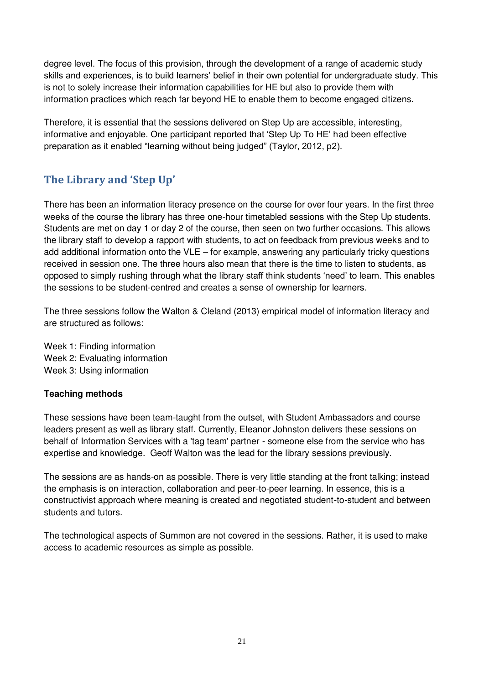degree level. The focus of this provision, through the development of a range of academic study skills and experiences, is to build learners' belief in their own potential for undergraduate study. This is not to solely increase their information capabilities for HE but also to provide them with information practices which reach far beyond HE to enable them to become engaged citizens.

Therefore, it is essential that the sessions delivered on Step Up are accessible, interesting, informative and enjoyable. One participant reported that 'Step Up To HE' had been effective preparation as it enabled "learning without being judged" (Taylor, 2012, p2).

# **The Library and ǮStep Upǯ**

There has been an information literacy presence on the course for over four years. In the first three weeks of the course the library has three one-hour timetabled sessions with the Step Up students. Students are met on day 1 or day 2 of the course, then seen on two further occasions. This allows the library staff to develop a rapport with students, to act on feedback from previous weeks and to add additional information onto the VLE – for example, answering any particularly tricky questions received in session one. The three hours also mean that there is the time to listen to students, as opposed to simply rushing through what the library staff think students 'need' to learn. This enables the sessions to be student-centred and creates a sense of ownership for learners.

The three sessions follow the Walton & Cleland (2013) empirical model of information literacy and are structured as follows:

Week 1: Finding information Week 2: Evaluating information Week 3: Using information

#### **Teaching methods**

These sessions have been team-taught from the outset, with Student Ambassadors and course leaders present as well as library staff. Currently, Eleanor Johnston delivers these sessions on behalf of Information Services with a 'tag team' partner - someone else from the service who has expertise and knowledge. Geoff Walton was the lead for the library sessions previously.

The sessions are as hands-on as possible. There is very little standing at the front talking; instead the emphasis is on interaction, collaboration and peer-to-peer learning. In essence, this is a constructivist approach where meaning is created and negotiated student-to-student and between students and tutors.

The technological aspects of Summon are not covered in the sessions. Rather, it is used to make access to academic resources as simple as possible.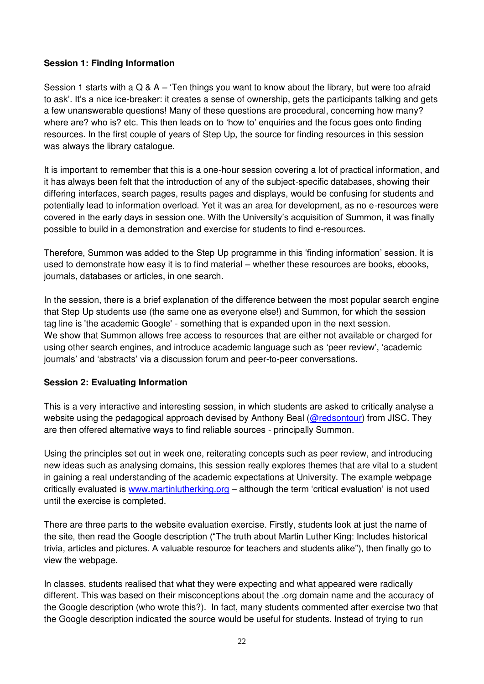#### **Session 1: Finding Information**

Session 1 starts with a Q & A – 'Ten things you want to know about the library, but were too afraid to ask'. It's a nice ice-breaker: it creates a sense of ownership, gets the participants talking and gets a few unanswerable questions! Many of these questions are procedural, concerning how many? where are? who is? etc. This then leads on to 'how to' enquiries and the focus goes onto finding resources. In the first couple of years of Step Up, the source for finding resources in this session was always the library catalogue.

It is important to remember that this is a one-hour session covering a lot of practical information, and it has always been felt that the introduction of any of the subject-specific databases, showing their differing interfaces, search pages, results pages and displays, would be confusing for students and potentially lead to information overload. Yet it was an area for development, as no e-resources were covered in the early days in session one. With the University's acquisition of Summon, it was finally possible to build in a demonstration and exercise for students to find e-resources.

Therefore, Summon was added to the Step Up programme in this 'finding information' session. It is used to demonstrate how easy it is to find material – whether these resources are books, ebooks, journals, databases or articles, in one search.

In the session, there is a brief explanation of the difference between the most popular search engine that Step Up students use (the same one as everyone else!) and Summon, for which the session tag line is 'the academic Google' - something that is expanded upon in the next session. We show that Summon allows free access to resources that are either not available or charged for using other search engines, and introduce academic language such as 'peer review', 'academic journals' and 'abstracts' via a discussion forum and peer-to-peer conversations.

#### **Session 2: Evaluating Information**

This is a very interactive and interesting session, in which students are asked to critically analyse a website using the pedagogical approach devised by Anthony Beal [\(@redsontour\)](https://twitter.com/@redsontour) from JISC. They are then offered alternative ways to find reliable sources - principally Summon.

Using the principles set out in week one, reiterating concepts such as peer review, and introducing new ideas such as analysing domains, this session really explores themes that are vital to a student in gaining a real understanding of the academic expectations at University. The example webpage critically evaluated is [www.martinlutherking.org](http://www.martinlutherking.org/) – although the term 'critical evaluation' is not used until the exercise is completed.

There are three parts to the website evaluation exercise. Firstly, students look at just the name of the site, then read the Google description ("The truth about Martin Luther King: Includes historical trivia, articles and pictures. A valuable resource for teachers and students alike"), then finally go to view the webpage.

In classes, students realised that what they were expecting and what appeared were radically different. This was based on their misconceptions about the .org domain name and the accuracy of the Google description (who wrote this?). In fact, many students commented after exercise two that the Google description indicated the source would be useful for students. Instead of trying to run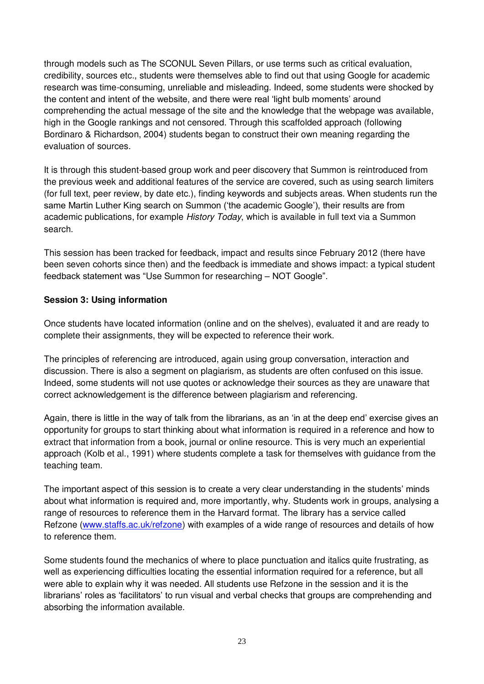through models such as The SCONUL Seven Pillars, or use terms such as critical evaluation, credibility, sources etc., students were themselves able to find out that using Google for academic research was time-consuming, unreliable and misleading. Indeed, some students were shocked by the content and intent of the website, and there were real 'light bulb moments' around comprehending the actual message of the site and the knowledge that the webpage was available, high in the Google rankings and not censored. Through this scaffolded approach (following Bordinaro & Richardson, 2004) students began to construct their own meaning regarding the evaluation of sources.

It is through this student-based group work and peer discovery that Summon is reintroduced from the previous week and additional features of the service are covered, such as using search limiters (for full text, peer review, by date etc.), finding keywords and subjects areas. When students run the same Martin Luther King search on Summon ('the academic Google'), their results are from academic publications, for example *History Today*, which is available in full text via a Summon search.

This session has been tracked for feedback, impact and results since February 2012 (there have been seven cohorts since then) and the feedback is immediate and shows impact: a typical student feedback statement was "Use Summon for researching – NOT Google".

#### **Session 3: Using information**

Once students have located information (online and on the shelves), evaluated it and are ready to complete their assignments, they will be expected to reference their work.

The principles of referencing are introduced, again using group conversation, interaction and discussion. There is also a segment on plagiarism, as students are often confused on this issue. Indeed, some students will not use quotes or acknowledge their sources as they are unaware that correct acknowledgement is the difference between plagiarism and referencing.

Again, there is little in the way of talk from the librarians, as an 'in at the deep end' exercise gives an opportunity for groups to start thinking about what information is required in a reference and how to extract that information from a book, journal or online resource. This is very much an experiential approach (Kolb et al., 1991) where students complete a task for themselves with guidance from the teaching team.

The important aspect of this session is to create a very clear understanding in the students' minds about what information is required and, more importantly, why. Students work in groups, analysing a range of resources to reference them in the Harvard format. The library has a service called Refzone [\(www.staffs.ac.uk/refzone\)](http://www.staffs.ac.uk/refzone) with examples of a wide range of resources and details of how to reference them.

Some students found the mechanics of where to place punctuation and italics quite frustrating, as well as experiencing difficulties locating the essential information required for a reference, but all were able to explain why it was needed. All students use Refzone in the session and it is the librarians' roles as 'facilitators' to run visual and verbal checks that groups are comprehending and absorbing the information available.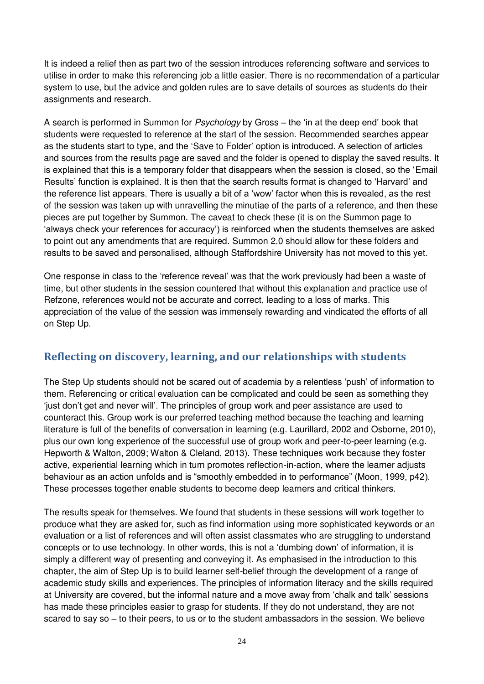It is indeed a relief then as part two of the session introduces referencing software and services to utilise in order to make this referencing job a little easier. There is no recommendation of a particular system to use, but the advice and golden rules are to save details of sources as students do their assignments and research.

A search is performed in Summon for *Psychology* by Gross – the 'in at the deep end' book that students were requested to reference at the start of the session. Recommended searches appear as the students start to type, and the 'Save to Folder' option is introduced. A selection of articles and sources from the results page are saved and the folder is opened to display the saved results. It is explained that this is a temporary folder that disappears when the session is closed, so the 'Email Results' function is explained. It is then that the search results format is changed to 'Harvard' and the reference list appears. There is usually a bit of a 'wow' factor when this is revealed, as the rest of the session was taken up with unravelling the minutiae of the parts of a reference, and then these pieces are put together by Summon. The caveat to check these (it is on the Summon page to 'always check your references for accuracy') is reinforced when the students themselves are asked to point out any amendments that are required. Summon 2.0 should allow for these folders and results to be saved and personalised, although Staffordshire University has not moved to this yet.

One response in class to the 'reference reveal' was that the work previously had been a waste of time, but other students in the session countered that without this explanation and practice use of Refzone, references would not be accurate and correct, leading to a loss of marks. This appreciation of the value of the session was immensely rewarding and vindicated the efforts of all on Step Up.

## **Reflecting on discovery, learning, and our relationships with students**

The Step Up students should not be scared out of academia by a relentless 'push' of information to them. Referencing or critical evaluation can be complicated and could be seen as something they 'just don't get and never will'. The principles of group work and peer assistance are used to counteract this. Group work is our preferred teaching method because the teaching and learning literature is full of the benefits of conversation in learning (e.g. Laurillard, 2002 and Osborne, 2010), plus our own long experience of the successful use of group work and peer-to-peer learning (e.g. Hepworth & Walton, 2009; Walton & Cleland, 2013). These techniques work because they foster active, experiential learning which in turn promotes reflection-in-action, where the learner adjusts behaviour as an action unfolds and is "smoothly embedded in to performance" (Moon, 1999, p42). These processes together enable students to become deep learners and critical thinkers.

The results speak for themselves. We found that students in these sessions will work together to produce what they are asked for, such as find information using more sophisticated keywords or an evaluation or a list of references and will often assist classmates who are struggling to understand concepts or to use technology. In other words, this is not a 'dumbing down' of information, it is simply a different way of presenting and conveying it. As emphasised in the introduction to this chapter, the aim of Step Up is to build learner self-belief through the development of a range of academic study skills and experiences. The principles of information literacy and the skills required at University are covered, but the informal nature and a move away from 'chalk and talk' sessions has made these principles easier to grasp for students. If they do not understand, they are not scared to say so – to their peers, to us or to the student ambassadors in the session. We believe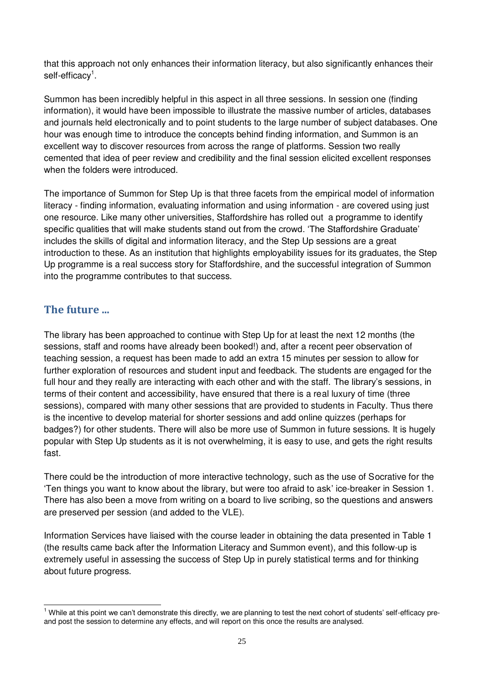that this approach not only enhances their information literacy, but also significantly enhances their self-efficacy<sup>1</sup>.

Summon has been incredibly helpful in this aspect in all three sessions. In session one (finding information), it would have been impossible to illustrate the massive number of articles, databases and journals held electronically and to point students to the large number of subject databases. One hour was enough time to introduce the concepts behind finding information, and Summon is an excellent way to discover resources from across the range of platforms. Session two really cemented that idea of peer review and credibility and the final session elicited excellent responses when the folders were introduced.

The importance of Summon for Step Up is that three facets from the empirical model of information literacy - finding information, evaluating information and using information - are covered using just one resource. Like many other universities, Staffordshire has rolled out a programme to identify specific qualities that will make students stand out from the crowd. 'The Staffordshire Graduate' includes the skills of digital and information literacy, and the Step Up sessions are a great introduction to these. As an institution that highlights employability issues for its graduates, the Step Up programme is a real success story for Staffordshire, and the successful integration of Summon into the programme contributes to that success.

## **The future ...**

The library has been approached to continue with Step Up for at least the next 12 months (the sessions, staff and rooms have already been booked!) and, after a recent peer observation of teaching session, a request has been made to add an extra 15 minutes per session to allow for further exploration of resources and student input and feedback. The students are engaged for the full hour and they really are interacting with each other and with the staff. The library's sessions, in terms of their content and accessibility, have ensured that there is a real luxury of time (three sessions), compared with many other sessions that are provided to students in Faculty. Thus there is the incentive to develop material for shorter sessions and add online quizzes (perhaps for badges?) for other students. There will also be more use of Summon in future sessions. It is hugely popular with Step Up students as it is not overwhelming, it is easy to use, and gets the right results fast.

There could be the introduction of more interactive technology, such as the use of Socrative for the 'Ten things you want to know about the library, but were too afraid to ask' ice-breaker in Session 1. There has also been a move from writing on a board to live scribing, so the questions and answers are preserved per session (and added to the VLE).

Information Services have liaised with the course leader in obtaining the data presented in Table 1 (the results came back after the Information Literacy and Summon event), and this follow-up is extremely useful in assessing the success of Step Up in purely statistical terms and for thinking about future progress.

 $\overline{\phantom{a}}$ <sup>1</sup> While at this point we can't demonstrate this directly, we are planning to test the next cohort of students' self-efficacy preand post the session to determine any effects, and will report on this once the results are analysed.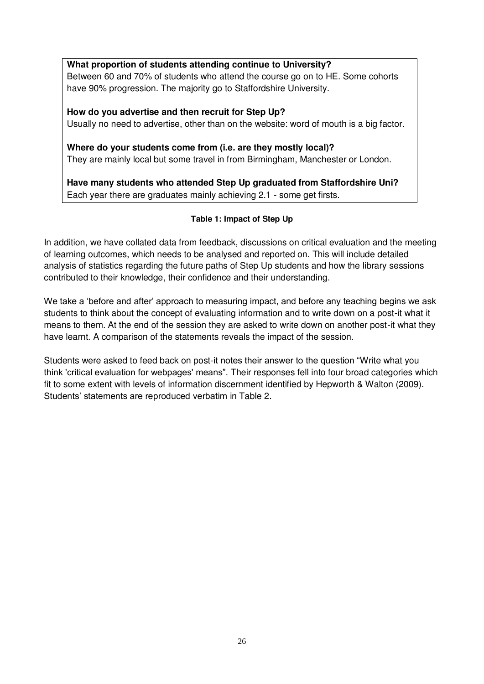#### **What proportion of students attending continue to University?**

Between 60 and 70% of students who attend the course go on to HE. Some cohorts have 90% progression. The majority go to Staffordshire University.

**How do you advertise and then recruit for Step Up?**  Usually no need to advertise, other than on the website: word of mouth is a big factor.

**Where do your students come from (i.e. are they mostly local)?**  They are mainly local but some travel in from Birmingham, Manchester or London.

**Have many students who attended Step Up graduated from Staffordshire Uni?**  Each year there are graduates mainly achieving 2.1 - some get firsts.

#### **Table 1: Impact of Step Up**

In addition, we have collated data from feedback, discussions on critical evaluation and the meeting of learning outcomes, which needs to be analysed and reported on. This will include detailed analysis of statistics regarding the future paths of Step Up students and how the library sessions contributed to their knowledge, their confidence and their understanding.

We take a 'before and after' approach to measuring impact, and before any teaching begins we ask students to think about the concept of evaluating information and to write down on a post-it what it means to them. At the end of the session they are asked to write down on another post-it what they have learnt. A comparison of the statements reveals the impact of the session.

Students were asked to feed back on post-it notes their answer to the question "Write what you think 'critical evaluation for webpages' means". Their responses fell into four broad categories which fit to some extent with levels of information discernment identified by Hepworth & Walton (2009). Students' statements are reproduced verbatim in Table 2.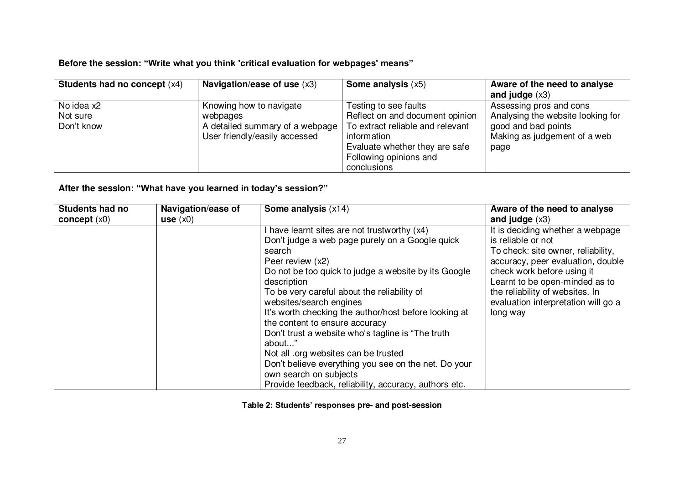#### **Before the session: "Write what you think 'critical evaluation for webpages' means"**

| <b>Students had no concept (x4)</b> | Navigation/ease of use $(x3)$   | <b>Some analysis <math>(x5)</math></b> | Aware of the need to analyse      |
|-------------------------------------|---------------------------------|----------------------------------------|-----------------------------------|
|                                     |                                 |                                        | and judge $(x3)$                  |
| No idea x2                          | Knowing how to navigate         | Testing to see faults                  | Assessing pros and cons           |
| Not sure                            | webpages                        | Reflect on and document opinion        | Analysing the website looking for |
| Don't know                          | A detailed summary of a webpage | To extract reliable and relevant       | good and bad points               |
|                                     | User friendly/easily accessed   | information                            | Making as judgement of a web      |
|                                     |                                 | Evaluate whether they are safe         | page                              |
|                                     |                                 | Following opinions and                 |                                   |
|                                     |                                 | conclusions                            |                                   |

#### **After the session: "What have you learned in today's session?"**

| <b>Students had no</b> | Navigation/ease of | Some analysis (x14)                                   | Aware of the need to analyse        |
|------------------------|--------------------|-------------------------------------------------------|-------------------------------------|
| concept $(x0)$         | use $(x0)$         |                                                       | and judge $(x3)$                    |
|                        |                    | I have learnt sites are not trustworthy (x4)          | It is deciding whether a webpage    |
|                        |                    | Don't judge a web page purely on a Google quick       | is reliable or not                  |
|                        |                    | search                                                | To check: site owner, reliability,  |
|                        |                    | Peer review (x2)                                      | accuracy, peer evaluation, double   |
|                        |                    | Do not be too quick to judge a website by its Google  | check work before using it          |
|                        |                    | description                                           | Learnt to be open-minded as to      |
|                        |                    | To be very careful about the reliability of           | the reliability of websites. In     |
|                        |                    | websites/search engines                               | evaluation interpretation will go a |
|                        |                    | It's worth checking the author/host before looking at | long way                            |
|                        |                    | the content to ensure accuracy                        |                                     |
|                        |                    | Don't trust a website who's tagline is "The truth"    |                                     |
|                        |                    | about"                                                |                                     |
|                        |                    | Not all org websites can be trusted                   |                                     |
|                        |                    | Don't believe everything you see on the net. Do your  |                                     |
|                        |                    | own search on subjects                                |                                     |
|                        |                    | Provide feedback, reliability, accuracy, authors etc. |                                     |

**Table 2: Students' responses pre- and post-session**